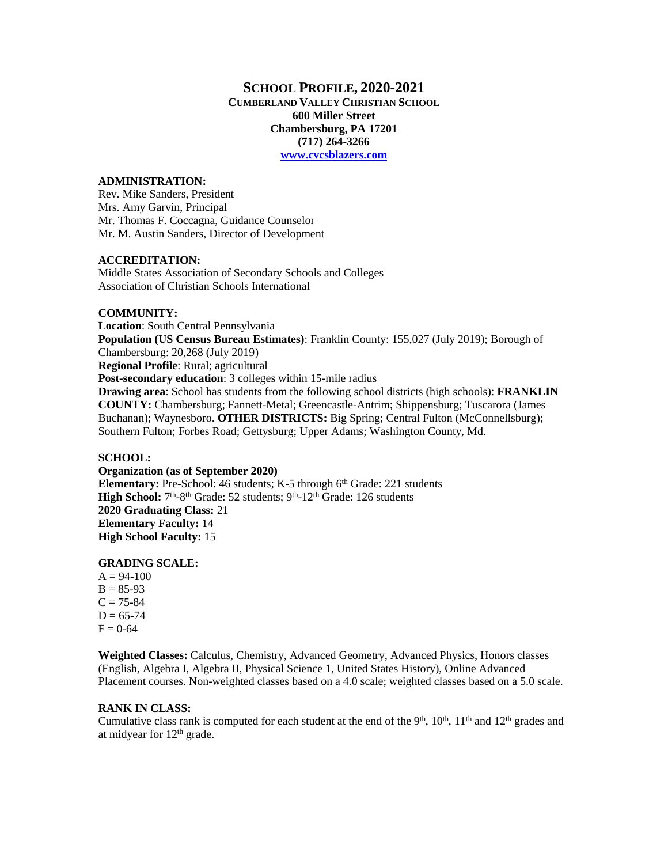## **SCHOOL PROFILE, 2020-2021**

**CUMBERLAND VALLEY CHRISTIAN SCHOOL 600 Miller Street Chambersburg, PA 17201 (717) 264-3266 [www.cvcsblazers.com](http://www.cvcsblazers.com/)**

### **ADMINISTRATION:**

Rev. Mike Sanders, President Mrs. Amy Garvin, Principal Mr. Thomas F. Coccagna, Guidance Counselor Mr. M. Austin Sanders, Director of Development

### **ACCREDITATION:**

Middle States Association of Secondary Schools and Colleges Association of Christian Schools International

## **COMMUNITY:**

**Location**: South Central Pennsylvania **Population (US Census Bureau Estimates)**: Franklin County: 155,027 (July 2019); Borough of Chambersburg: 20,268 (July 2019) **Regional Profile**: Rural; agricultural **Post-secondary education**: 3 colleges within 15-mile radius **Drawing area**: School has students from the following school districts (high schools): **FRANKLIN COUNTY:** Chambersburg; Fannett-Metal; Greencastle-Antrim; Shippensburg; Tuscarora (James Buchanan); Waynesboro. **OTHER DISTRICTS:** Big Spring; Central Fulton (McConnellsburg); Southern Fulton; Forbes Road; Gettysburg; Upper Adams; Washington County, Md.

### **SCHOOL:**

**Organization (as of September 2020) Elementary:** Pre-School: 46 students; K-5 through 6<sup>th</sup> Grade: 221 students High School: 7<sup>th</sup>-8<sup>th</sup> Grade: 52 students; 9<sup>th</sup>-12<sup>th</sup> Grade: 126 students **2020 Graduating Class:** 21 **Elementary Faculty:** 14 **High School Faculty:** 15

### **GRADING SCALE:**

 $A = 94-100$  $B = 85-93$  $C = 75 - 84$  $D = 65 - 74$  $F = 0.64$ 

**Weighted Classes:** Calculus, Chemistry, Advanced Geometry, Advanced Physics, Honors classes (English, Algebra I, Algebra II, Physical Science 1, United States History), Online Advanced Placement courses. Non-weighted classes based on a 4.0 scale; weighted classes based on a 5.0 scale.

## **RANK IN CLASS:**

Cumulative class rank is computed for each student at the end of the  $9<sup>th</sup>$ ,  $10<sup>th</sup>$ ,  $11<sup>th</sup>$  and  $12<sup>th</sup>$  grades and at midyear for  $12<sup>th</sup>$  grade.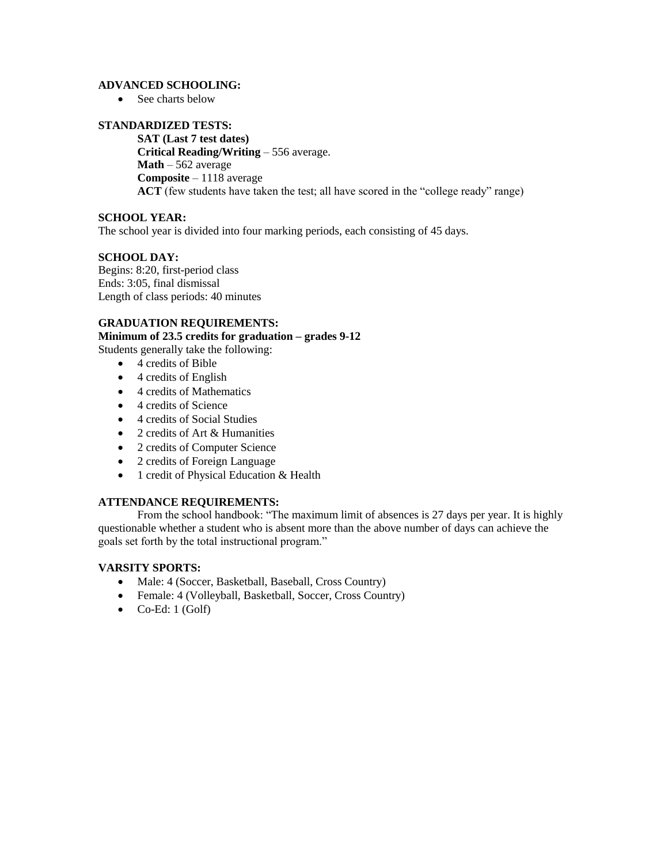## **ADVANCED SCHOOLING:**

• See charts below

## **STANDARDIZED TESTS:**

**SAT (Last 7 test dates) Critical Reading/Writing** – 556 average. **Math** – 562 average **Composite** – 1118 average **ACT** (few students have taken the test; all have scored in the "college ready" range)

## **SCHOOL YEAR:**

The school year is divided into four marking periods, each consisting of 45 days.

## **SCHOOL DAY:**

Begins: 8:20, first-period class Ends: 3:05, final dismissal Length of class periods: 40 minutes

## **GRADUATION REQUIREMENTS:**

**Minimum of 23.5 credits for graduation – grades 9-12**

Students generally take the following:

- 4 credits of Bible
- $\bullet$  4 credits of English
- 4 credits of Mathematics
- 4 credits of Science
- 4 credits of Social Studies
- 2 credits of Art & Humanities
- 2 credits of Computer Science
- 2 credits of Foreign Language
- 1 credit of Physical Education & Health

## **ATTENDANCE REQUIREMENTS:**

From the school handbook: "The maximum limit of absences is 27 days per year. It is highly questionable whether a student who is absent more than the above number of days can achieve the goals set forth by the total instructional program."

## **VARSITY SPORTS:**

- Male: 4 (Soccer, Basketball, Baseball, Cross Country)
- Female: 4 (Volleyball, Basketball, Soccer, Cross Country)
- $\bullet$  Co-Ed: 1 (Golf)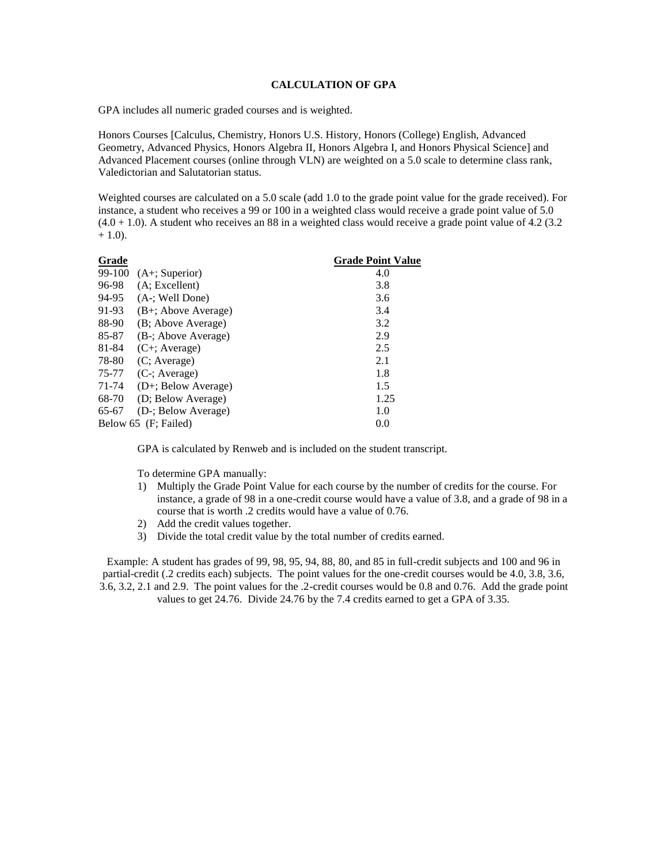### **CALCULATION OF GPA**

GPA includes all numeric graded courses and is weighted.

Honors Courses [Calculus, Chemistry, Honors U.S. History, Honors (College) English, Advanced Geometry, Advanced Physics, Honors Algebra II, Honors Algebra I, and Honors Physical Science] and Advanced Placement courses (online through VLN) are weighted on a 5.0 scale to determine class rank, Valedictorian and Salutatorian status.

Weighted courses are calculated on a 5.0 scale (add 1.0 to the grade point value for the grade received). For instance, a student who receives a 99 or 100 in a weighted class would receive a grade point value of 5.0  $(4.0 + 1.0)$ . A student who receives an 88 in a weighted class would receive a grade point value of 4.2 (3.2)  $+ 1.0$ ).

| Grade  |                       | <b>Grade Point Value</b> |
|--------|-----------------------|--------------------------|
| 99-100 | $(A+)$ ; Superior)    | 4.0                      |
| 96-98  | (A; Excellent)        | 3.8                      |
| 94-95  | (A-; Well Done)       | 3.6                      |
| 91-93  | $(B+;$ Above Average) | 3.4                      |
| 88-90  | (B; Above Average)    | 3.2                      |
| 85-87  | (B-; Above Average)   | 2.9                      |
| 81-84  | $(C^+;$ Average)      | 2.5                      |
| 78-80  | (C; Average)          | 2.1                      |
| 75-77  | $(C$ -; Average)      | 1.8                      |
| 71-74  | (D+; Below Average)   | 1.5                      |
| 68-70  | (D; Below Average)    | 1.25                     |
| 65-67  | (D-; Below Average)   | 1.0                      |
|        | Below 65 (F; Failed)  | 0.0                      |

GPA is calculated by Renweb and is included on the student transcript.

To determine GPA manually:

- 1) Multiply the Grade Point Value for each course by the number of credits for the course. For instance, a grade of 98 in a one-credit course would have a value of 3.8, and a grade of 98 in a course that is worth .2 credits would have a value of 0.76.
- 2) Add the credit values together.
- 3) Divide the total credit value by the total number of credits earned.

Example: A student has grades of 99, 98, 95, 94, 88, 80, and 85 in full-credit subjects and 100 and 96 in partial-credit (.2 credits each) subjects. The point values for the one-credit courses would be 4.0, 3.8, 3.6, 3.6, 3.2, 2.1 and 2.9. The point values for the .2-credit courses would be 0.8 and 0.76. Add the grade point values to get 24.76. Divide 24.76 by the 7.4 credits earned to get a GPA of 3.35.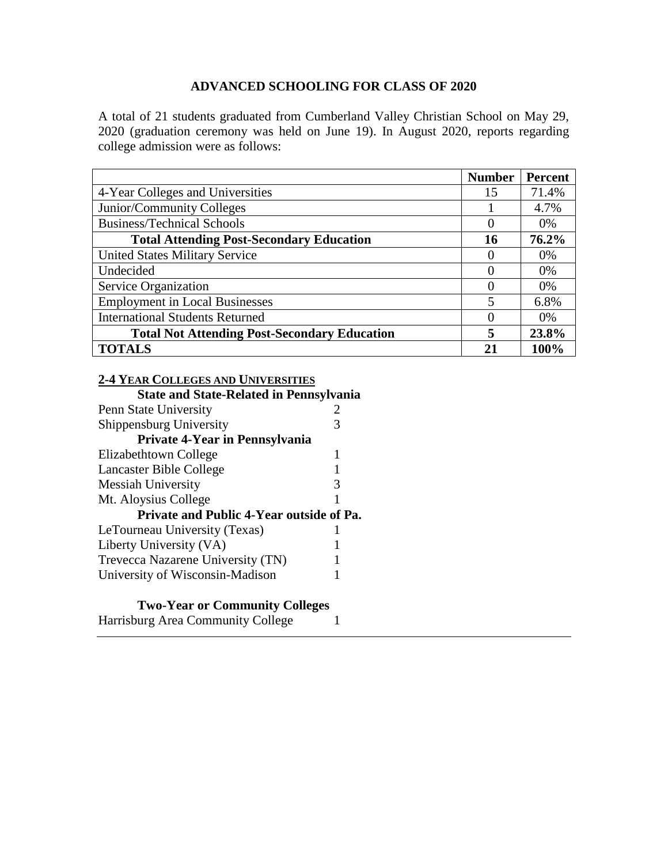A total of 21 students graduated from Cumberland Valley Christian School on May 29, 2020 (graduation ceremony was held on June 19). In August 2020, reports regarding college admission were as follows:

|                                                     | <b>Number</b>           | Percent |
|-----------------------------------------------------|-------------------------|---------|
| 4-Year Colleges and Universities                    | 15                      | 71.4%   |
| Junior/Community Colleges                           |                         | 4.7%    |
| <b>Business/Technical Schools</b>                   | 0                       | 0%      |
| <b>Total Attending Post-Secondary Education</b>     | 16                      | 76.2%   |
| <b>United States Military Service</b>               | $\mathbf{\Omega}$       | 0%      |
| Undecided                                           | $\mathbf{\Omega}$       | 0%      |
| Service Organization                                | $\mathbf{\Omega}$       | 0%      |
| <b>Employment in Local Businesses</b>               | $\overline{\mathbf{5}}$ | 6.8%    |
| <b>International Students Returned</b>              | $\mathbf{\Omega}$       | $0\%$   |
| <b>Total Not Attending Post-Secondary Education</b> |                         | 23.8%   |
| <b>TOTALS</b>                                       | 21                      | 100%    |

# **2-4 YEAR COLLEGES AND UNIVERSITIES**

| <b>State and State-Related in Pennsylvania</b>  |   |
|-------------------------------------------------|---|
| Penn State University                           |   |
| Shippensburg University                         |   |
| Private 4-Year in Pennsylvania                  |   |
| Elizabethtown College                           |   |
| Lancaster Bible College                         |   |
| <b>Messiah University</b>                       | 3 |
| Mt. Aloysius College                            |   |
| <b>Private and Public 4-Year outside of Pa.</b> |   |
| LeTourneau University (Texas)                   |   |
| Liberty University (VA)                         |   |
| Trevecca Nazarene University (TN)               |   |
| University of Wisconsin-Madison                 |   |
|                                                 |   |

# **Two-Year or Community Colleges**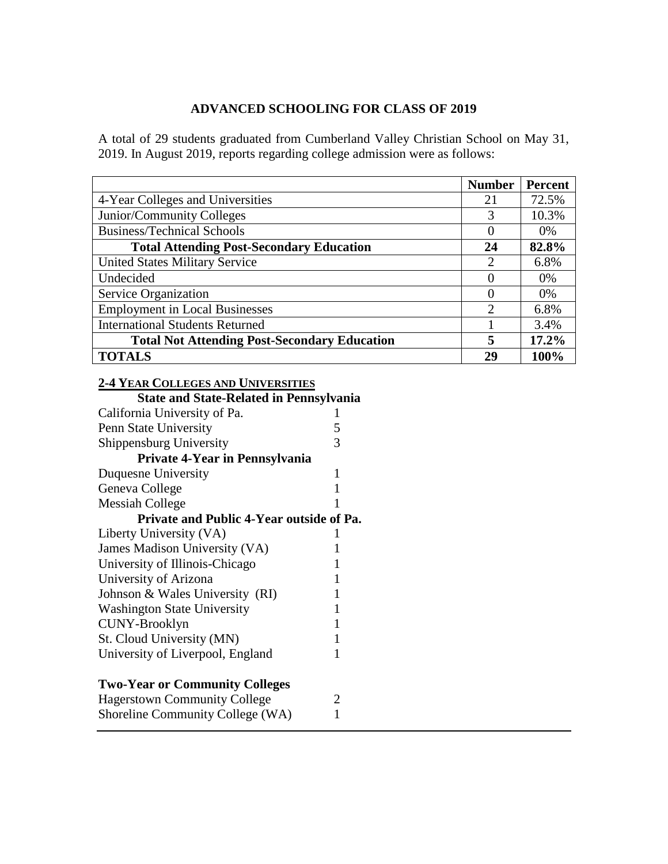A total of 29 students graduated from Cumberland Valley Christian School on May 31, 2019. In August 2019, reports regarding college admission were as follows:

|                                                     | <b>Number</b>               | <b>Percent</b> |
|-----------------------------------------------------|-----------------------------|----------------|
| 4-Year Colleges and Universities                    |                             | 72.5%          |
| Junior/Community Colleges                           |                             | 10.3%          |
| <b>Business/Technical Schools</b>                   |                             | $0\%$          |
| <b>Total Attending Post-Secondary Education</b>     |                             | 82.8%          |
| <b>United States Military Service</b>               | 2                           | 6.8%           |
| Undecided                                           | $\mathbf{\Omega}$           | 0%             |
| Service Organization                                | $\mathcal{O}$               | $0\%$          |
| <b>Employment in Local Businesses</b>               | $\mathcal{D}_{\mathcal{A}}$ | 6.8%           |
| <b>International Students Returned</b>              |                             | 3.4%           |
| <b>Total Not Attending Post-Secondary Education</b> |                             | 17.2%          |
| <b>TOTALS</b>                                       | 29                          | 100%           |

|  |  | <b>2-4 YEAR COLLEGES AND UNIVERSITIES</b> |  |
|--|--|-------------------------------------------|--|
|--|--|-------------------------------------------|--|

| <b>State and State-Related in Pennsylvania</b> |   |
|------------------------------------------------|---|
| California University of Pa.                   |   |
| Penn State University                          | 5 |
| Shippensburg University                        | 3 |
| <b>Private 4-Year in Pennsylvania</b>          |   |
| Duquesne University                            | 1 |
| Geneva College                                 |   |
| Messiah College                                |   |
| Private and Public 4-Year outside of Pa.       |   |
| Liberty University (VA)                        |   |
| James Madison University (VA)                  |   |
| University of Illinois-Chicago                 |   |
| University of Arizona                          |   |
| Johnson & Wales University (RI)                |   |
| <b>Washington State University</b>             |   |
| CUNY-Brooklyn                                  |   |
| St. Cloud University (MN)                      | 1 |
| University of Liverpool, England               |   |
|                                                |   |
| <b>Two-Year or Community Colleges</b>          |   |
| <b>Hagerstown Community College</b>            | 2 |
| Shoreline Community College (WA)               | 1 |
|                                                |   |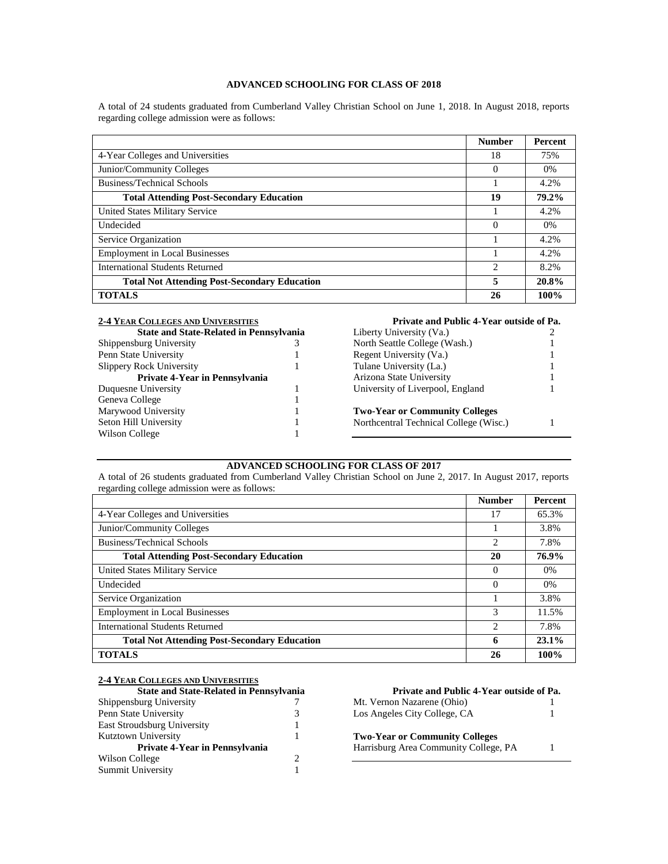A total of 24 students graduated from Cumberland Valley Christian School on June 1, 2018. In August 2018, reports regarding college admission were as follows:

|                                                     | <b>Number</b>  | <b>Percent</b> |
|-----------------------------------------------------|----------------|----------------|
| 4-Year Colleges and Universities                    | 18             | 75%            |
| Junior/Community Colleges                           | $\Omega$       | $0\%$          |
| Business/Technical Schools                          |                | 4.2%           |
| <b>Total Attending Post-Secondary Education</b>     | 19             | 79.2%          |
| United States Military Service                      |                | 4.2%           |
| Undecided                                           | $\Omega$       | $0\%$          |
| Service Organization                                |                | 4.2%           |
| <b>Employment in Local Businesses</b>               |                | 4.2%           |
| International Students Returned                     | $\overline{c}$ | 8.2%           |
| <b>Total Not Attending Post-Secondary Education</b> | 5              | 20.8%          |
| <b>TOTALS</b>                                       | 26             | 100%           |

| <b>2-4 YEAR COLLEGES AND UNIVERSITIES</b>      |  |  |
|------------------------------------------------|--|--|
| <b>State and State-Related in Pennsylvania</b> |  |  |
| Shippensburg University                        |  |  |
| Penn State University                          |  |  |
| <b>Slippery Rock University</b>                |  |  |
| Private 4-Year in Pennsylvania                 |  |  |
| Duquesne University                            |  |  |
| Geneva College                                 |  |  |
| Marywood University                            |  |  |
| Seton Hill University                          |  |  |
| Wilson College                                 |  |  |

### **Private and Public 4-Year outside of Pa.**

| Liberty University (Va.)               |   |
|----------------------------------------|---|
| North Seattle College (Wash.)          |   |
| Regent University (Va.)                |   |
| Tulane University (La.)                | 1 |
| Arizona State University               | 1 |
| University of Liverpool, England       |   |
| <b>Two-Year or Community Colleges</b>  |   |
| Northcentral Technical College (Wisc.) |   |

## **ADVANCED SCHOOLING FOR CLASS OF 2017**

A total of 26 students graduated from Cumberland Valley Christian School on June 2, 2017. In August 2017, reports regarding college admission were as follows:

|                                                     | <b>Number</b>  | Percent  |
|-----------------------------------------------------|----------------|----------|
| 4-Year Colleges and Universities                    | 17             | 65.3%    |
| Junior/Community Colleges                           |                | 3.8%     |
| <b>Business/Technical Schools</b>                   | $\overline{c}$ | 7.8%     |
| <b>Total Attending Post-Secondary Education</b>     | 20             | 76.9%    |
| United States Military Service                      | 0              | $0\%$    |
| Undecided                                           | 0              | $0\%$    |
| Service Organization                                |                | 3.8%     |
| <b>Employment in Local Businesses</b>               | 3              | 11.5%    |
| International Students Returned                     | 2              | 7.8%     |
| <b>Total Not Attending Post-Secondary Education</b> | 6              | $23.1\%$ |
| <b>TOTALS</b>                                       | 26             | 100%     |

| <b>2-4 YEAR COLLEGES AND UNIVERSITIES</b> |  |
|-------------------------------------------|--|
|-------------------------------------------|--|

| <b>State and State-Related in Pennsylvania</b> |  |
|------------------------------------------------|--|
| Shippensburg University                        |  |
| Penn State University                          |  |
| East Stroudsburg University                    |  |
| Kutztown University                            |  |
| Private 4-Year in Pennsylvania                 |  |
| Wilson College                                 |  |
| Summit University                              |  |

| Private and Public 4-Year outside of Pa.                                       |  |
|--------------------------------------------------------------------------------|--|
| Mt. Vernon Nazarene (Ohio)                                                     |  |
| Los Angeles City College, CA                                                   |  |
| <b>Two-Year or Community Colleges</b><br>Harrisburg Area Community College, PA |  |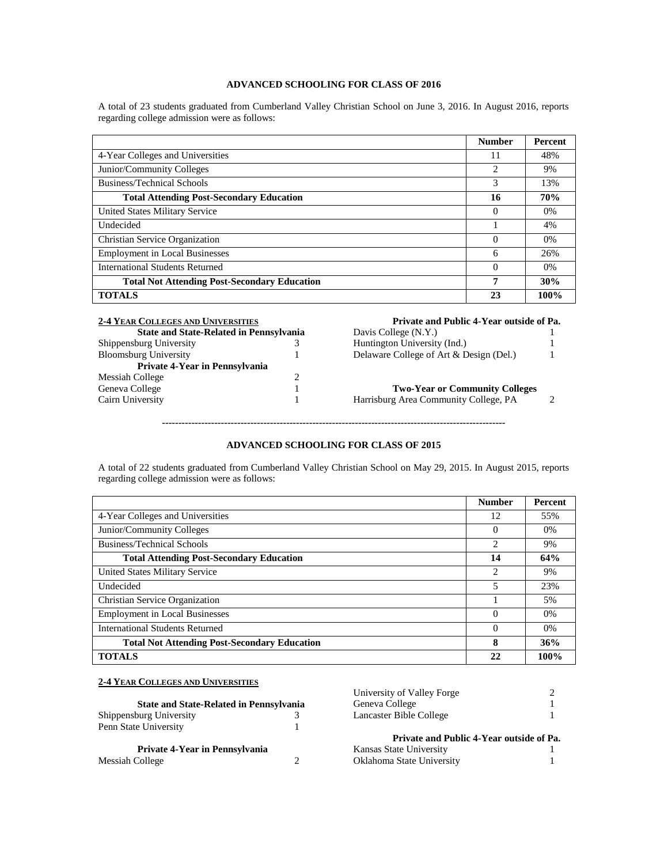A total of 23 students graduated from Cumberland Valley Christian School on June 3, 2016. In August 2016, reports regarding college admission were as follows:

|                                                     | <b>Number</b>  | Percent    |
|-----------------------------------------------------|----------------|------------|
| 4-Year Colleges and Universities                    | 11             | 48%        |
| Junior/Community Colleges                           | $\overline{c}$ | 9%         |
| Business/Technical Schools                          | 3              | 13%        |
| <b>Total Attending Post-Secondary Education</b>     | 16             | <b>70%</b> |
| United States Military Service                      | $\Omega$       | $0\%$      |
| Undecided                                           |                | 4%         |
| <b>Christian Service Organization</b>               | $\Omega$       | $0\%$      |
| <b>Employment in Local Businesses</b>               | 6              | 26%        |
| International Students Returned                     | $\Omega$       | $0\%$      |
| <b>Total Not Attending Post-Secondary Education</b> | 7              | 30%        |
| <b>TOTALS</b>                                       | 23             | 100%       |

| <b>2-4 YEAR COLLEGES AND UNIVERSITIES</b>      |   | Private and Public 4-Year outside of Pa. |  |
|------------------------------------------------|---|------------------------------------------|--|
| <b>State and State-Related in Pennsylvania</b> |   | Davis College (N.Y.)                     |  |
| Shippensburg University                        |   | Huntington University (Ind.)             |  |
| <b>Bloomsburg University</b>                   |   | Delaware College of Art & Design (Del.)  |  |
| Private 4-Year in Pennsylvania                 |   |                                          |  |
| Messiah College                                | 2 |                                          |  |
| Geneva College                                 |   | <b>Two-Year or Community Colleges</b>    |  |
| Cairn University                               |   | Harrisburg Area Community College, PA    |  |
|                                                |   |                                          |  |
|                                                |   |                                          |  |

## **ADVANCED SCHOOLING FOR CLASS OF 2015**

A total of 22 students graduated from Cumberland Valley Christian School on May 29, 2015. In August 2015, reports regarding college admission were as follows:

|                                                     | <b>Number</b> | Percent |
|-----------------------------------------------------|---------------|---------|
| 4-Year Colleges and Universities                    | 12            | 55%     |
| Junior/Community Colleges                           | 0             | $0\%$   |
| <b>Business/Technical Schools</b>                   | 2             | 9%      |
| <b>Total Attending Post-Secondary Education</b>     | 14            | 64%     |
| United States Military Service                      | 2             | 9%      |
| Undecided                                           | 5             | 23%     |
| Christian Service Organization                      |               | 5%      |
| <b>Employment in Local Businesses</b>               | $\Omega$      | $0\%$   |
| International Students Returned                     | $\Omega$      | $0\%$   |
| <b>Total Not Attending Post-Secondary Education</b> | 8             | 36%     |
| <b>TOTALS</b>                                       | 22            | 100%    |

## **2-4 YEAR COLLEGES AND UNIVERSITIES**

|                                                |  | University of Valley Forge               |  |
|------------------------------------------------|--|------------------------------------------|--|
| <b>State and State-Related in Pennsylvania</b> |  | Geneva College                           |  |
| Shippensburg University                        |  | Lancaster Bible College                  |  |
| Penn State University                          |  |                                          |  |
|                                                |  | Private and Public 4-Year outside of Pa. |  |
| Private 4-Year in Pennsylvania                 |  | Kansas State University                  |  |
| Messiah College                                |  | Oklahoma State University                |  |